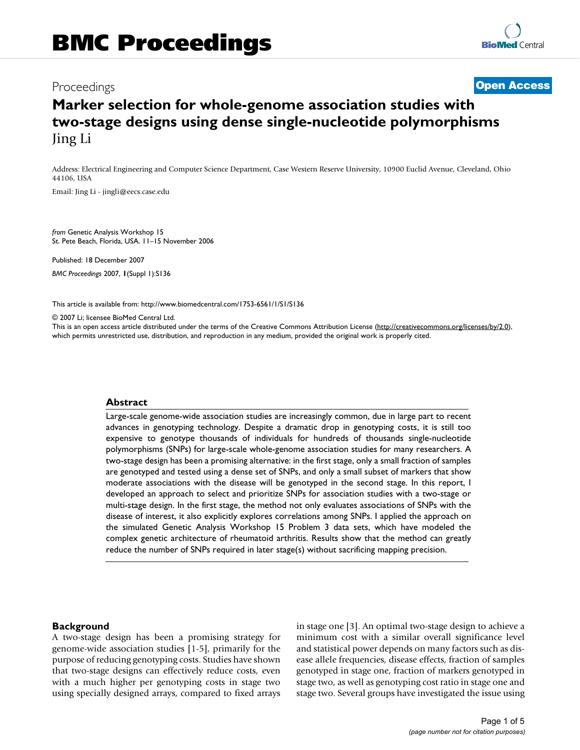# Proceedings **[Open Access](http://www.biomedcentral.com/info/about/charter/)**

# **Marker selection for whole-genome association studies with two-stage designs using dense single-nucleotide polymorphisms** Jing Li

Address: Electrical Engineering and Computer Science Department, Case Western Reserve University, 10900 Euclid Avenue, Cleveland, Ohio 44106, USA

Email: Jing Li - jingli@eecs.case.edu

*from* Genetic Analysis Workshop 15 St. Pete Beach, Florida, USA. 11–15 November 2006

Published: 18 December 2007

*BMC Proceedings* 2007, **1**(Suppl 1):S136

[This article is available from: http://www.biomedcentral.com/1753-6561/1/S1/S136](http://www.biomedcentral.com/1753-6561/1/S1/S136)

© 2007 Li; licensee BioMed Central Ltd.

This is an open access article distributed under the terms of the Creative Commons Attribution License [\(http://creativecommons.org/licenses/by/2.0\)](http://creativecommons.org/licenses/by/2.0), which permits unrestricted use, distribution, and reproduction in any medium, provided the original work is properly cited.

#### **Abstract**

Large-scale genome-wide association studies are increasingly common, due in large part to recent advances in genotyping technology. Despite a dramatic drop in genotyping costs, it is still too expensive to genotype thousands of individuals for hundreds of thousands single-nucleotide polymorphisms (SNPs) for large-scale whole-genome association studies for many researchers. A two-stage design has been a promising alternative: in the first stage, only a small fraction of samples are genotyped and tested using a dense set of SNPs, and only a small subset of markers that show moderate associations with the disease will be genotyped in the second stage. In this report, I developed an approach to select and prioritize SNPs for association studies with a two-stage or multi-stage design. In the first stage, the method not only evaluates associations of SNPs with the disease of interest, it also explicitly explores correlations among SNPs. I applied the approach on the simulated Genetic Analysis Workshop 15 Problem 3 data sets, which have modeled the complex genetic architecture of rheumatoid arthritis. Results show that the method can greatly reduce the number of SNPs required in later stage(s) without sacrificing mapping precision.

#### **Background**

A two-stage design has been a promising strategy for genome-wide association studies [1-5], primarily for the purpose of reducing genotyping costs. Studies have shown that two-stage designs can effectively reduce costs, even with a much higher per genotyping costs in stage two using specially designed arrays, compared to fixed arrays in stage one [3]. An optimal two-stage design to achieve a minimum cost with a similar overall significance level and statistical power depends on many factors such as disease allele frequencies, disease effects, fraction of samples genotyped in stage one, fraction of markers genotyped in stage two, as well as genotyping cost ratio in stage one and stage two. Several groups have investigated the issue using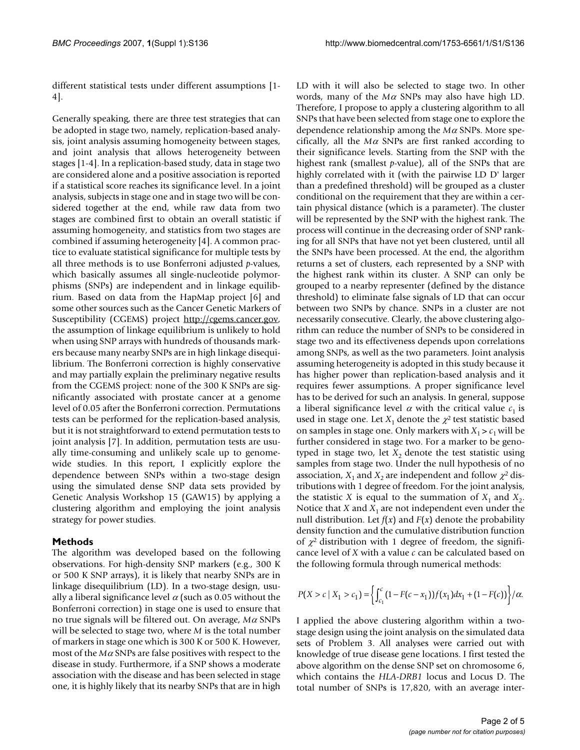different statistical tests under different assumptions [1- 4].

Generally speaking, there are three test strategies that can be adopted in stage two, namely, replication-based analysis, joint analysis assuming homogeneity between stages, and joint analysis that allows heterogeneity between stages [1-4]. In a replication-based study, data in stage two are considered alone and a positive association is reported if a statistical score reaches its significance level. In a joint analysis, subjects in stage one and in stage two will be considered together at the end, while raw data from two stages are combined first to obtain an overall statistic if assuming homogeneity, and statistics from two stages are combined if assuming heterogeneity [4]. A common practice to evaluate statistical significance for multiple tests by all three methods is to use Bonferroni adjusted *p*-values, which basically assumes all single-nucleotide polymorphisms (SNPs) are independent and in linkage equilibrium. Based on data from the HapMap project [6] and some other sources such as the Cancer Genetic Markers of Susceptibility (CGEMS) project [http://cgems.cancer.gov,](http://cgems.cancer.gov) the assumption of linkage equilibrium is unlikely to hold when using SNP arrays with hundreds of thousands markers because many nearby SNPs are in high linkage disequilibrium. The Bonferroni correction is highly conservative and may partially explain the preliminary negative results from the CGEMS project: none of the 300 K SNPs are significantly associated with prostate cancer at a genome level of 0.05 after the Bonferroni correction. Permutations tests can be performed for the replication-based analysis, but it is not straightforward to extend permutation tests to joint analysis [7]. In addition, permutation tests are usually time-consuming and unlikely scale up to genomewide studies. In this report, I explicitly explore the dependence between SNPs within a two-stage design using the simulated dense SNP data sets provided by Genetic Analysis Workshop 15 (GAW15) by applying a clustering algorithm and employing the joint analysis strategy for power studies.

# **Methods**

The algorithm was developed based on the following observations. For high-density SNP markers (e.g., 300 K or 500 K SNP arrays), it is likely that nearby SNPs are in linkage disequilibrium (LD). In a two-stage design, usually a liberal significance level  $\alpha$  (such as 0.05 without the Bonferroni correction) in stage one is used to ensure that no true signals will be filtered out. On average, *M*<sup>α</sup> SNPs will be selected to stage two, where *M* is the total number of markers in stage one which is 300 K or 500 K. However, most of the *M*<sup>α</sup> SNPs are false positives with respect to the disease in study. Furthermore, if a SNP shows a moderate association with the disease and has been selected in stage one, it is highly likely that its nearby SNPs that are in high

LD with it will also be selected to stage two. In other words, many of the *M*<sup>α</sup> SNPs may also have high LD. Therefore, I propose to apply a clustering algorithm to all SNPs that have been selected from stage one to explore the dependence relationship among the *M*<sup>α</sup> SNPs. More specifically, all the  $M\alpha$  SNPs are first ranked according to their significance levels. Starting from the SNP with the highest rank (smallest *p*-value), all of the SNPs that are highly correlated with it (with the pairwise LD D' larger than a predefined threshold) will be grouped as a cluster conditional on the requirement that they are within a certain physical distance (which is a parameter). The cluster will be represented by the SNP with the highest rank. The process will continue in the decreasing order of SNP ranking for all SNPs that have not yet been clustered, until all the SNPs have been processed. At the end, the algorithm returns a set of clusters, each represented by a SNP with the highest rank within its cluster. A SNP can only be grouped to a nearby representer (defined by the distance threshold) to eliminate false signals of LD that can occur between two SNPs by chance. SNPs in a cluster are not necessarily consecutive. Clearly, the above clustering algorithm can reduce the number of SNPs to be considered in stage two and its effectiveness depends upon correlations among SNPs, as well as the two parameters. Joint analysis assuming heterogeneity is adopted in this study because it has higher power than replication-based analysis and it requires fewer assumptions. A proper significance level has to be derived for such an analysis. In general, suppose a liberal significance level  $\alpha$  with the critical value  $c_1$  is used in stage one. Let  $X_1$  denote the  $\chi^2$  test statistic based on samples in stage one. Only markers with  $X_1 > c_1$  will be further considered in stage two. For a marker to be genotyped in stage two, let  $X_2$  denote the test statistic using samples from stage two. Under the null hypothesis of no association,  $X_1$  and  $X_2$  are independent and follow  $\chi^2$  distributions with 1 degree of freedom. For the joint analysis, the statistic *X* is equal to the summation of  $X_1$  and  $X_2$ . Notice that *X* and  $X_1$  are not independent even under the null distribution. Let  $f(x)$  and  $F(x)$  denote the probability density function and the cumulative distribution function of  $\chi^2$  distribution with 1 degree of freedom, the significance level of *X* with a value *c* can be calculated based on the following formula through numerical methods:

$$
P(X > c | X_1 > c_1) = \left\{ \int_{c_1}^{c} (1 - F(c - x_1)) f(x_1) dx_1 + (1 - F(c)) \right\} / \alpha.
$$

I applied the above clustering algorithm within a twostage design using the joint analysis on the simulated data sets of Problem 3. All analyses were carried out with knowledge of true disease gene locations. I first tested the above algorithm on the dense SNP set on chromosome 6, which contains the *HLA-DRB1* locus and Locus D. The total number of SNPs is 17,820, with an average inter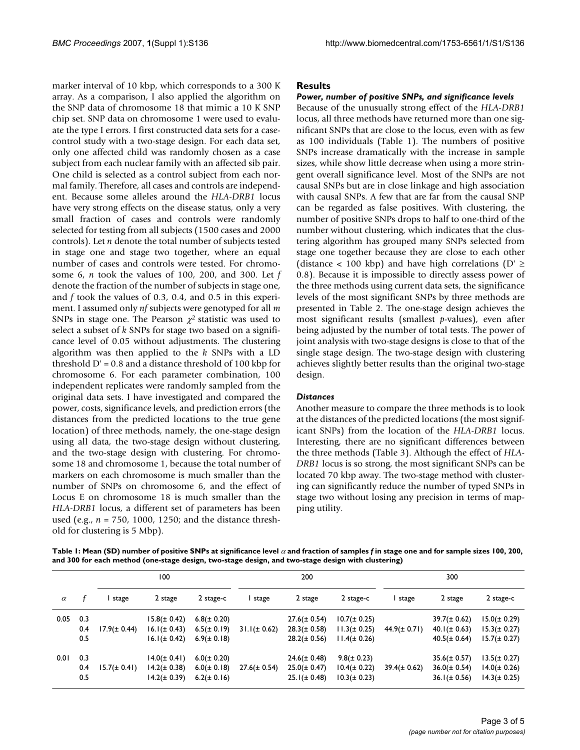marker interval of 10 kbp, which corresponds to a 300 K array. As a comparison, I also applied the algorithm on the SNP data of chromosome 18 that mimic a 10 K SNP chip set. SNP data on chromosome 1 were used to evaluate the type I errors. I first constructed data sets for a casecontrol study with a two-stage design. For each data set, only one affected child was randomly chosen as a case subject from each nuclear family with an affected sib pair. One child is selected as a control subject from each normal family. Therefore, all cases and controls are independent. Because some alleles around the *HLA-DRB1* locus have very strong effects on the disease status, only a very small fraction of cases and controls were randomly selected for testing from all subjects (1500 cases and 2000 controls). Let *n* denote the total number of subjects tested in stage one and stage two together, where an equal number of cases and controls were tested. For chromosome 6, *n* took the values of 100, 200, and 300. Let *f* denote the fraction of the number of subjects in stage one, and *f* took the values of 0.3, 0.4, and 0.5 in this experiment. I assumed only *nf* subjects were genotyped for all *m* SNPs in stage one. The Pearson  $\chi^2$  statistic was used to select a subset of *k* SNPs for stage two based on a significance level of 0.05 without adjustments. The clustering algorithm was then applied to the *k* SNPs with a LD threshold  $D' = 0.8$  and a distance threshold of 100 kbp for chromosome 6. For each parameter combination, 100 independent replicates were randomly sampled from the original data sets. I have investigated and compared the power, costs, significance levels, and prediction errors (the distances from the predicted locations to the true gene location) of three methods, namely, the one-stage design using all data, the two-stage design without clustering, and the two-stage design with clustering. For chromosome 18 and chromosome 1, because the total number of markers on each chromosome is much smaller than the number of SNPs on chromosome 6, and the effect of Locus E on chromosome 18 is much smaller than the *HLA-DRB1* locus, a different set of parameters has been used (e.g., *n* = 750, 1000, 1250; and the distance threshold for clustering is 5 Mbp).

#### **Results**

#### *Power, number of positive SNPs, and significance levels*

Because of the unusually strong effect of the *HLA-DRB1* locus, all three methods have returned more than one significant SNPs that are close to the locus, even with as few as 100 individuals (Table 1). The numbers of positive SNPs increase dramatically with the increase in sample sizes, while show little decrease when using a more stringent overall significance level. Most of the SNPs are not causal SNPs but are in close linkage and high association with causal SNPs. A few that are far from the causal SNP can be regarded as false positives. With clustering, the number of positive SNPs drops to half to one-third of the number without clustering, which indicates that the clustering algorithm has grouped many SNPs selected from stage one together because they are close to each other (distance < 100 kbp) and have high correlations ( $D' \ge$ 0.8). Because it is impossible to directly assess power of the three methods using current data sets, the significance levels of the most significant SNPs by three methods are presented in Table 2. The one-stage design achieves the most significant results (smallest *p*-values), even after being adjusted by the number of total tests. The power of joint analysis with two-stage designs is close to that of the single stage design. The two-stage design with clustering achieves slightly better results than the original two-stage design.

#### *Distances*

Another measure to compare the three methods is to look at the distances of the predicted locations (the most significant SNPs) from the location of the *HLA-DRB1* locus. Interesting, there are no significant differences between the three methods (Table 3). Although the effect of *HLA-DRB1* locus is so strong, the most significant SNPs can be located 70 kbp away. The two-stage method with clustering can significantly reduce the number of typed SNPs in stage two without losing any precision in terms of mapping utility.

**Table 1: Mean (SD) number of positive SNPs at significance level** <sup>α</sup> **and fraction of samples** *f* **in stage one and for sample sizes 100, 200, and 300 for each method (one-stage design, two-stage design, and two-stage design with clustering)**

|          |                   | 100              |                                                            |                                                         | 200               |                                                           |                                                            | 300              |                                                           |                                                          |
|----------|-------------------|------------------|------------------------------------------------------------|---------------------------------------------------------|-------------------|-----------------------------------------------------------|------------------------------------------------------------|------------------|-----------------------------------------------------------|----------------------------------------------------------|
| $\alpha$ |                   | stage            | 2 stage                                                    | 2 stage-c                                               | stage             | 2 stage                                                   | 2 stage-c                                                  | stage            | 2 stage                                                   | 2 stage-c                                                |
| 0.05     | 0.3<br>0.4<br>0.5 | $17.9(\pm 0.44)$ | $15.8(\pm 0.42)$<br>$16.1 (\pm 0.43)$<br>$16.1 (\pm 0.42)$ | $6.8(\pm 0.20)$<br>$6.5(\pm 0.19)$<br>$6.9(\pm 0.18)$   | $31.1 (\pm 0.62)$ | $27.6(\pm 0.54)$<br>$28.3(\pm 0.58)$<br>$28.2(\pm 0.56)$  | $10.7 (\pm 0.25)$<br>$11.3 (\pm 0.25)$<br>$11.4(\pm 0.26)$ | $44.9(\pm 0.71)$ | $39.7(\pm 0.62)$<br>$40.1 (\pm 0.63)$<br>$40.5(\pm 0.64)$ | $15.0(\pm 0.29)$<br>$15.3(\pm 0.27)$<br>$15.7(\pm 0.27)$ |
| 0.01     | 0.3<br>0.4<br>0.5 | $15.7(\pm 0.41)$ | $14.0(\pm 0.41)$<br>$14.2(\pm 0.38)$<br>$14.2(\pm 0.39)$   | $6.0 (\pm 0.20)$<br>$6.0 (\pm 0.18)$<br>$6.2(\pm 0.16)$ | $27.6(\pm 0.54)$  | $24.6(\pm 0.48)$<br>$25.0(\pm 0.47)$<br>$25.1 (\pm 0.48)$ | $9.8 (\pm 0.23)$<br>$10.4(\pm 0.22)$<br>$10.3 (\pm 0.23)$  | $39.4(\pm 0.62)$ | $35.6(\pm 0.57)$<br>$36.0(\pm 0.54)$<br>$36.1 (\pm 0.56)$ | $13.5(\pm 0.27)$<br>$14.0(\pm 0.26)$<br>$14.3(\pm 0.25)$ |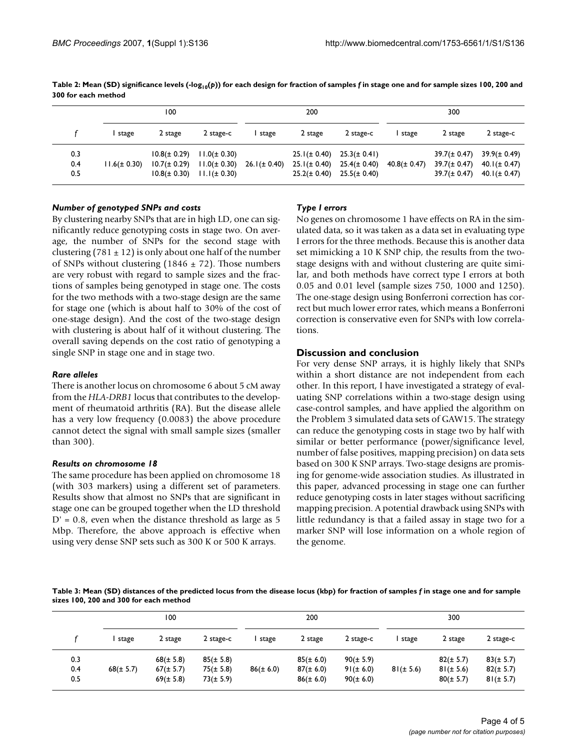|                   | 100              |                                                          |                                                           | 200               |         |                                                                                                             | 300              |                                                      |                                                          |
|-------------------|------------------|----------------------------------------------------------|-----------------------------------------------------------|-------------------|---------|-------------------------------------------------------------------------------------------------------------|------------------|------------------------------------------------------|----------------------------------------------------------|
|                   | stage            | 2 stage                                                  | 2 stage-c                                                 | stage             | 2 stage | 2 stage-c                                                                                                   | stage            | 2 stage                                              | 2 stage-c                                                |
| 0.3<br>0.4<br>0.5 | $11.6(\pm 0.30)$ | $10.8(\pm 0.29)$<br>$10.7(\pm 0.29)$<br>$10.8(\pm 0.30)$ | $11.0(\pm 0.30)$<br>$11.0(\pm 0.30)$<br>$11.1 (\pm 0.30)$ | $26.1 (\pm 0.40)$ |         | $25.1(\pm 0.40)$ $25.3(\pm 0.41)$<br>$25.1(\pm 0.40)$ $25.4(\pm 0.40)$<br>$25.2(\pm 0.40)$ $25.5(\pm 0.40)$ | $40.8(\pm 0.47)$ | 39.7(± 0.47)<br>$39.7(\pm 0.47)$<br>$39.7(\pm 0.47)$ | $39.9(\pm 0.49)$<br>40. $I(± 0.47)$<br>40.1( $\pm$ 0.47) |

Table 2: Mean (SD) significance levels (-log<sub>10</sub>(*p*)) for each design for fraction of samples *f* in stage one and for sample sizes 100, 200 and **300 for each method**

# *Number of genotyped SNPs and costs*

By clustering nearby SNPs that are in high LD, one can significantly reduce genotyping costs in stage two. On average, the number of SNPs for the second stage with clustering (781  $\pm$  12) is only about one half of the number of SNPs without clustering (1846  $\pm$  72). Those numbers are very robust with regard to sample sizes and the fractions of samples being genotyped in stage one. The costs for the two methods with a two-stage design are the same for stage one (which is about half to 30% of the cost of one-stage design). And the cost of the two-stage design with clustering is about half of it without clustering. The overall saving depends on the cost ratio of genotyping a single SNP in stage one and in stage two.

# *Rare alleles*

There is another locus on chromosome 6 about 5 cM away from the *HLA-DRB1* locus that contributes to the development of rheumatoid arthritis (RA). But the disease allele has a very low frequency (0.0083) the above procedure cannot detect the signal with small sample sizes (smaller than 300).

#### *Results on chromosome 18*

The same procedure has been applied on chromosome 18 (with 303 markers) using a different set of parameters. Results show that almost no SNPs that are significant in stage one can be grouped together when the LD threshold  $D' = 0.8$ , even when the distance threshold as large as 5 Mbp. Therefore, the above approach is effective when using very dense SNP sets such as 300 K or 500 K arrays.

# *Type I errors*

No genes on chromosome 1 have effects on RA in the simulated data, so it was taken as a data set in evaluating type I errors for the three methods. Because this is another data set mimicking a 10 K SNP chip, the results from the twostage designs with and without clustering are quite similar, and both methods have correct type I errors at both 0.05 and 0.01 level (sample sizes 750, 1000 and 1250). The one-stage design using Bonferroni correction has correct but much lower error rates, which means a Bonferroni correction is conservative even for SNPs with low correlations.

# **Discussion and conclusion**

For very dense SNP arrays, it is highly likely that SNPs within a short distance are not independent from each other. In this report, I have investigated a strategy of evaluating SNP correlations within a two-stage design using case-control samples, and have applied the algorithm on the Problem 3 simulated data sets of GAW15. The strategy can reduce the genotyping costs in stage two by half with similar or better performance (power/significance level, number of false positives, mapping precision) on data sets based on 300 K SNP arrays. Two-stage designs are promising for genome-wide association studies. As illustrated in this paper, advanced processing in stage one can further reduce genotyping costs in later stages without sacrificing mapping precision. A potential drawback using SNPs with little redundancy is that a failed assay in stage two for a marker SNP will lose information on a whole region of the genome.

**Table 3: Mean (SD) distances of the predicted locus from the disease locus (kbp) for fraction of samples** *f* **in stage one and for sample sizes 100, 200 and 300 for each method**

|     | 100           |               |               | 200           |                |                | 300            |                |                |
|-----|---------------|---------------|---------------|---------------|----------------|----------------|----------------|----------------|----------------|
|     | stage         | 2 stage       | 2 stage-c     | stage         | 2 stage        | 2 stage-c      | stage          | 2 stage        | 2 stage-c      |
| 0.3 |               | $68(\pm 5.8)$ | $85(\pm 5.8)$ |               | $85 (\pm 6.0)$ | $90(\pm 5.9)$  |                | $82 (\pm 5.7)$ | $83(\pm 5.7)$  |
| 0.4 | $68(\pm 5.7)$ | $67(\pm 5.7)$ | $75(\pm 5.8)$ | $86(\pm 6.0)$ | $87(\pm 6.0)$  | $91 (\pm 6.0)$ | $81 (\pm 5.6)$ | $81 (\pm 5.6)$ | $82(\pm 5.7)$  |
| 0.5 |               | $69(\pm 5.8)$ | $73(\pm 5.9)$ |               | $86(\pm 6.0)$  | $90 (\pm 6.0)$ |                | $80 (\pm 5.7)$ | $81 (\pm 5.7)$ |